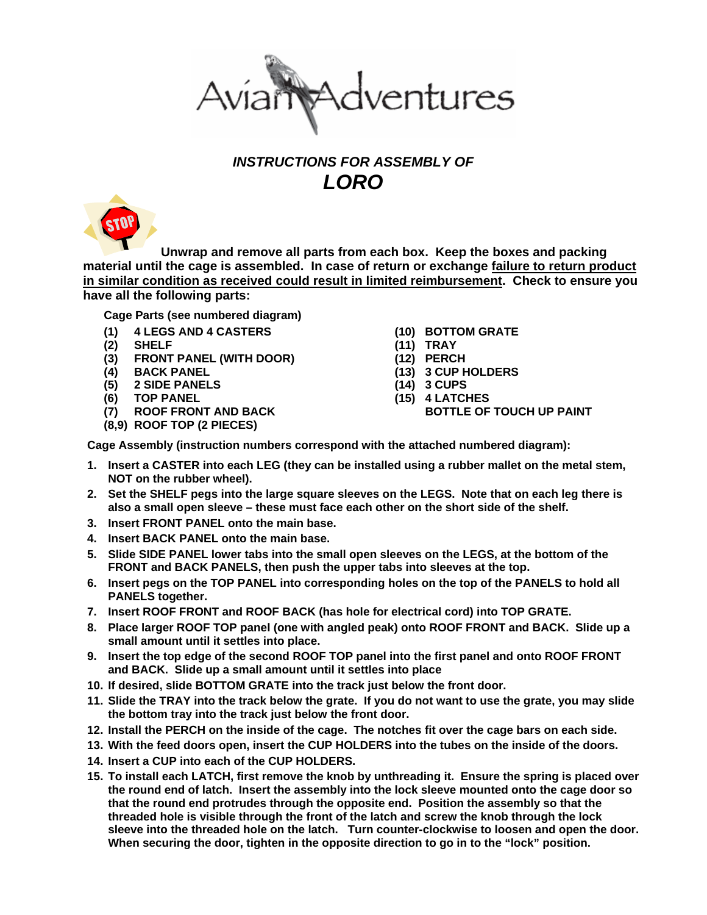

## *INSTRUCTIONS FOR ASSEMBLY OF LORO*



 **Unwrap and remove all parts from each box. Keep the boxes and packing material until the cage is assembled. In case of return or exchange failure to return product in similar condition as received could result in limited reimbursement. Check to ensure you have all the following parts:**

**Cage Parts (see numbered diagram)** 

- **(1) 4 LEGS AND 4 CASTERS**
- **(2) SHELF**
- **(3) FRONT PANEL (WITH DOOR)**
- **(4) BACK PANEL**
- **(5) 2 SIDE PANELS**
- **(6) TOP PANEL**
- **(7) ROOF FRONT AND BACK**
- **(8,9) ROOF TOP (2 PIECES)**
- **(10) BOTTOM GRATE**
- **(11) TRAY**
- **(12) PERCH**
- **(13) 3 CUP HOLDERS**
- **(14) 3 CUPS**
- **(15) 4 LATCHES** 
	- **BOTTLE OF TOUCH UP PAINT**

**Cage Assembly (instruction numbers correspond with the attached numbered diagram):** 

- **1. Insert a CASTER into each LEG (they can be installed using a rubber mallet on the metal stem, NOT on the rubber wheel).**
- **2. Set the SHELF pegs into the large square sleeves on the LEGS. Note that on each leg there is also a small open sleeve – these must face each other on the short side of the shelf.**
- **3. Insert FRONT PANEL onto the main base.**
- **4. Insert BACK PANEL onto the main base.**
- **5. Slide SIDE PANEL lower tabs into the small open sleeves on the LEGS, at the bottom of the FRONT and BACK PANELS, then push the upper tabs into sleeves at the top.**
- **6. Insert pegs on the TOP PANEL into corresponding holes on the top of the PANELS to hold all PANELS together.**
- **7. Insert ROOF FRONT and ROOF BACK (has hole for electrical cord) into TOP GRATE.**
- **8. Place larger ROOF TOP panel (one with angled peak) onto ROOF FRONT and BACK. Slide up a small amount until it settles into place.**
- **9. Insert the top edge of the second ROOF TOP panel into the first panel and onto ROOF FRONT and BACK. Slide up a small amount until it settles into place**
- **10. If desired, slide BOTTOM GRATE into the track just below the front door.**
- **11. Slide the TRAY into the track below the grate. If you do not want to use the grate, you may slide the bottom tray into the track just below the front door.**
- **12. Install the PERCH on the inside of the cage. The notches fit over the cage bars on each side.**
- **13. With the feed doors open, insert the CUP HOLDERS into the tubes on the inside of the doors.**
- **14. Insert a CUP into each of the CUP HOLDERS.**
- **15. To install each LATCH, first remove the knob by unthreading it. Ensure the spring is placed over the round end of latch. Insert the assembly into the lock sleeve mounted onto the cage door so that the round end protrudes through the opposite end. Position the assembly so that the threaded hole is visible through the front of the latch and screw the knob through the lock sleeve into the threaded hole on the latch. Turn counter-clockwise to loosen and open the door. When securing the door, tighten in the opposite direction to go in to the "lock" position.**